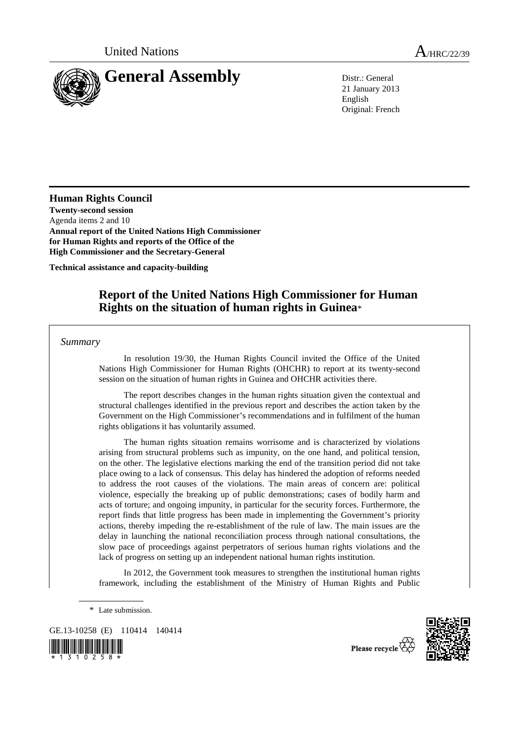

21 January 2013 English Original: French

**Human Rights Council Twenty-second session**  Agenda items 2 and 10 **Annual report of the United Nations High Commissioner for Human Rights and reports of the Office of the High Commissioner and the Secretary-General** 

**Technical assistance and capacity-building** 

# **Report of the United Nations High Commissioner for Human Rights on the situation of human rights in Guinea**\*

*Summary*

 In resolution 19/30, the Human Rights Council invited the Office of the United Nations High Commissioner for Human Rights (OHCHR) to report at its twenty-second session on the situation of human rights in Guinea and OHCHR activities there.

 The report describes changes in the human rights situation given the contextual and structural challenges identified in the previous report and describes the action taken by the Government on the High Commissioner's recommendations and in fulfilment of the human rights obligations it has voluntarily assumed.

 The human rights situation remains worrisome and is characterized by violations arising from structural problems such as impunity, on the one hand, and political tension, on the other. The legislative elections marking the end of the transition period did not take place owing to a lack of consensus. This delay has hindered the adoption of reforms needed to address the root causes of the violations. The main areas of concern are: political violence, especially the breaking up of public demonstrations; cases of bodily harm and acts of torture; and ongoing impunity, in particular for the security forces. Furthermore, the report finds that little progress has been made in implementing the Government's priority actions, thereby impeding the re-establishment of the rule of law. The main issues are the delay in launching the national reconciliation process through national consultations, the slow pace of proceedings against perpetrators of serious human rights violations and the lack of progress on setting up an independent national human rights institution.

 In 2012, the Government took measures to strengthen the institutional human rights framework, including the establishment of the Ministry of Human Rights and Public

\* Late submission.

GE.13-10258 (E) 110414 140414





Please recycle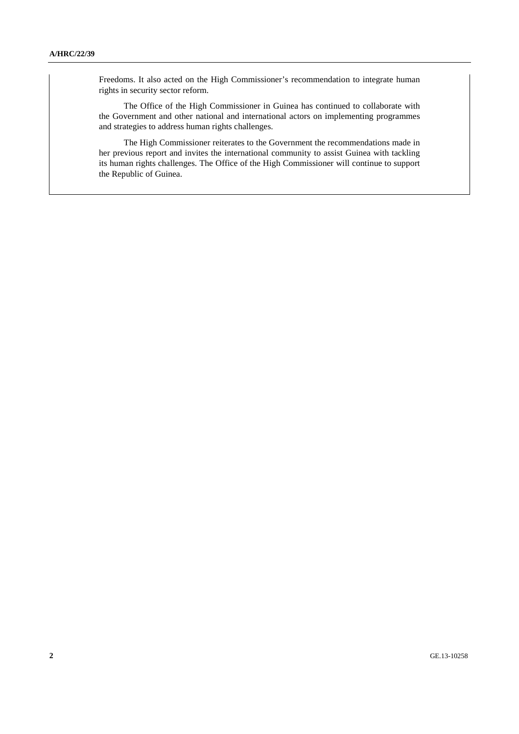Freedoms. It also acted on the High Commissioner's recommendation to integrate human rights in security sector reform.

 The Office of the High Commissioner in Guinea has continued to collaborate with the Government and other national and international actors on implementing programmes and strategies to address human rights challenges.

 The High Commissioner reiterates to the Government the recommendations made in her previous report and invites the international community to assist Guinea with tackling its human rights challenges. The Office of the High Commissioner will continue to support the Republic of Guinea.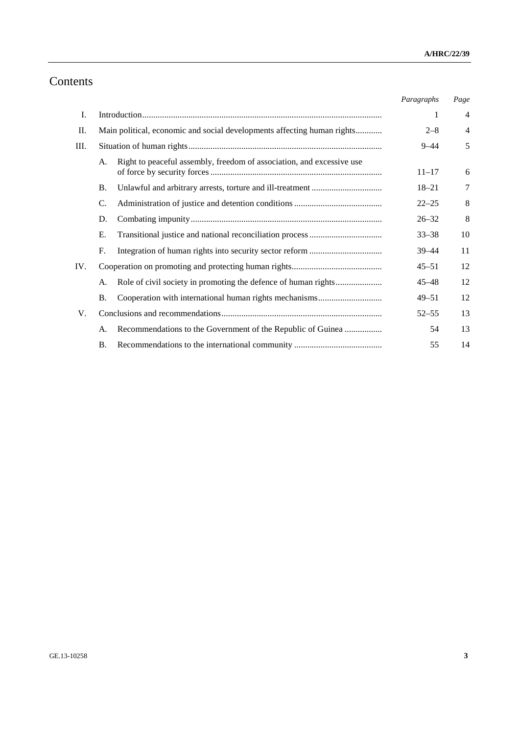# Contents

|     |                                                                         |                                                                       | Paragraphs | Page   |
|-----|-------------------------------------------------------------------------|-----------------------------------------------------------------------|------------|--------|
| Ι.  |                                                                         |                                                                       | 1          | 4      |
| Π.  | Main political, economic and social developments affecting human rights |                                                                       | $2 - 8$    | 4      |
| Ш.  |                                                                         |                                                                       | $9 - 44$   | 5      |
|     | A.                                                                      | Right to peaceful assembly, freedom of association, and excessive use | $11 - 17$  | 6      |
|     | <b>B.</b>                                                               |                                                                       | $18 - 21$  | $\tau$ |
|     | C.                                                                      |                                                                       | $22 - 25$  | 8      |
|     | D.                                                                      |                                                                       | $26 - 32$  | 8      |
|     | Е.                                                                      |                                                                       | $33 - 38$  | 10     |
|     | F.                                                                      |                                                                       | $39 - 44$  | 11     |
| IV. |                                                                         |                                                                       | $45 - 51$  | 12     |
|     | А.                                                                      |                                                                       | $45 - 48$  | 12     |
|     | <b>B.</b>                                                               |                                                                       | $49 - 51$  | 12     |
| V.  |                                                                         |                                                                       | $52 - 55$  | 13     |
|     | А.                                                                      | Recommendations to the Government of the Republic of Guinea           | 54         | 13     |
|     | В.                                                                      |                                                                       | 55         | 14     |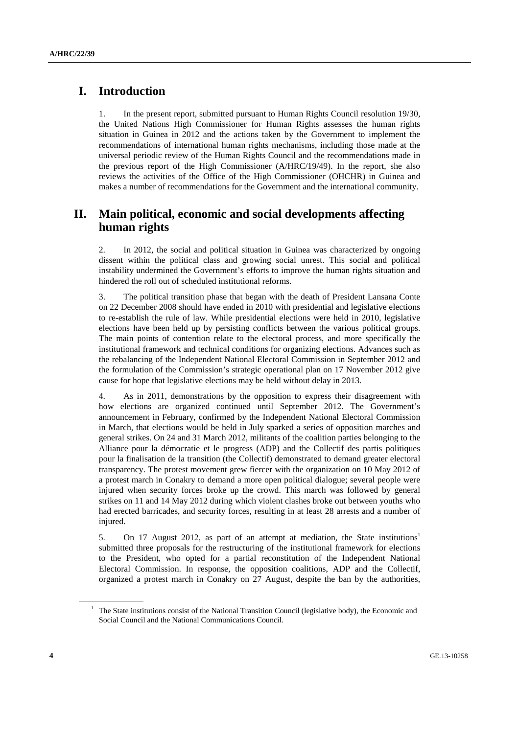## **I. Introduction**

1. In the present report, submitted pursuant to Human Rights Council resolution 19/30, the United Nations High Commissioner for Human Rights assesses the human rights situation in Guinea in 2012 and the actions taken by the Government to implement the recommendations of international human rights mechanisms, including those made at the universal periodic review of the Human Rights Council and the recommendations made in the previous report of the High Commissioner (A/HRC/19/49). In the report, she also reviews the activities of the Office of the High Commissioner (OHCHR) in Guinea and makes a number of recommendations for the Government and the international community.

## **II. Main political, economic and social developments affecting human rights**

2. In 2012, the social and political situation in Guinea was characterized by ongoing dissent within the political class and growing social unrest. This social and political instability undermined the Government's efforts to improve the human rights situation and hindered the roll out of scheduled institutional reforms.

3. The political transition phase that began with the death of President Lansana Conte on 22 December 2008 should have ended in 2010 with presidential and legislative elections to re-establish the rule of law. While presidential elections were held in 2010, legislative elections have been held up by persisting conflicts between the various political groups. The main points of contention relate to the electoral process, and more specifically the institutional framework and technical conditions for organizing elections. Advances such as the rebalancing of the Independent National Electoral Commission in September 2012 and the formulation of the Commission's strategic operational plan on 17 November 2012 give cause for hope that legislative elections may be held without delay in 2013.

4. As in 2011, demonstrations by the opposition to express their disagreement with how elections are organized continued until September 2012. The Government's announcement in February, confirmed by the Independent National Electoral Commission in March, that elections would be held in July sparked a series of opposition marches and general strikes. On 24 and 31 March 2012, militants of the coalition parties belonging to the Alliance pour la démocratie et le progress (ADP) and the Collectif des partis politiques pour la finalisation de la transition (the Collectif) demonstrated to demand greater electoral transparency. The protest movement grew fiercer with the organization on 10 May 2012 of a protest march in Conakry to demand a more open political dialogue; several people were injured when security forces broke up the crowd. This march was followed by general strikes on 11 and 14 May 2012 during which violent clashes broke out between youths who had erected barricades, and security forces, resulting in at least 28 arrests and a number of injured.

5. On 17 August 2012, as part of an attempt at mediation, the State institutions<sup>1</sup> submitted three proposals for the restructuring of the institutional framework for elections to the President, who opted for a partial reconstitution of the Independent National Electoral Commission. In response, the opposition coalitions, ADP and the Collectif, organized a protest march in Conakry on 27 August, despite the ban by the authorities,

<sup>&</sup>lt;sup>1</sup> The State institutions consist of the National Transition Council (legislative body), the Economic and Social Council and the National Communications Council.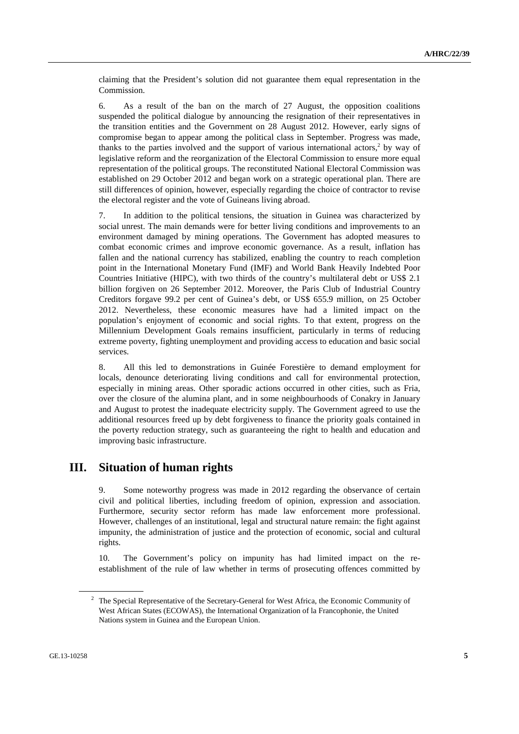claiming that the President's solution did not guarantee them equal representation in the Commission.

6. As a result of the ban on the march of 27 August, the opposition coalitions suspended the political dialogue by announcing the resignation of their representatives in the transition entities and the Government on 28 August 2012. However, early signs of compromise began to appear among the political class in September. Progress was made, thanks to the parties involved and the support of various international actors,<sup>2</sup> by way of legislative reform and the reorganization of the Electoral Commission to ensure more equal representation of the political groups. The reconstituted National Electoral Commission was established on 29 October 2012 and began work on a strategic operational plan. There are still differences of opinion, however, especially regarding the choice of contractor to revise the electoral register and the vote of Guineans living abroad.

7. In addition to the political tensions, the situation in Guinea was characterized by social unrest. The main demands were for better living conditions and improvements to an environment damaged by mining operations. The Government has adopted measures to combat economic crimes and improve economic governance. As a result, inflation has fallen and the national currency has stabilized, enabling the country to reach completion point in the International Monetary Fund (IMF) and World Bank Heavily Indebted Poor Countries Initiative (HIPC), with two thirds of the country's multilateral debt or US\$ 2.1 billion forgiven on 26 September 2012. Moreover, the Paris Club of Industrial Country Creditors forgave 99.2 per cent of Guinea's debt, or US\$ 655.9 million, on 25 October 2012. Nevertheless, these economic measures have had a limited impact on the population's enjoyment of economic and social rights. To that extent, progress on the Millennium Development Goals remains insufficient, particularly in terms of reducing extreme poverty, fighting unemployment and providing access to education and basic social services.

8. All this led to demonstrations in Guinée Forestière to demand employment for locals, denounce deteriorating living conditions and call for environmental protection, especially in mining areas. Other sporadic actions occurred in other cities, such as Fria, over the closure of the alumina plant, and in some neighbourhoods of Conakry in January and August to protest the inadequate electricity supply. The Government agreed to use the additional resources freed up by debt forgiveness to finance the priority goals contained in the poverty reduction strategy, such as guaranteeing the right to health and education and improving basic infrastructure.

## **III. Situation of human rights**

9. Some noteworthy progress was made in 2012 regarding the observance of certain civil and political liberties, including freedom of opinion, expression and association. Furthermore, security sector reform has made law enforcement more professional. However, challenges of an institutional, legal and structural nature remain: the fight against impunity, the administration of justice and the protection of economic, social and cultural rights.

10. The Government's policy on impunity has had limited impact on the reestablishment of the rule of law whether in terms of prosecuting offences committed by

<sup>&</sup>lt;sup>2</sup> The Special Representative of the Secretary-General for West Africa, the Economic Community of West African States (ECOWAS), the International Organization of la Francophonie, the United Nations system in Guinea and the European Union.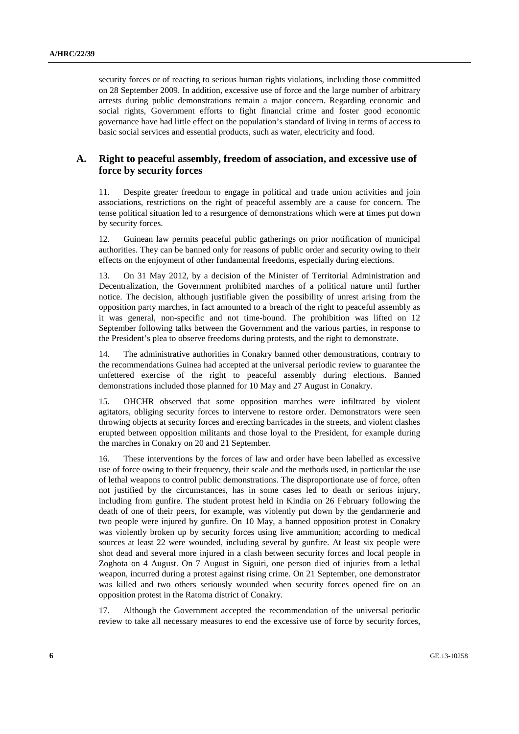security forces or of reacting to serious human rights violations, including those committed on 28 September 2009. In addition, excessive use of force and the large number of arbitrary arrests during public demonstrations remain a major concern. Regarding economic and social rights, Government efforts to fight financial crime and foster good economic governance have had little effect on the population's standard of living in terms of access to basic social services and essential products, such as water, electricity and food.

### **A. Right to peaceful assembly, freedom of association, and excessive use of force by security forces**

11. Despite greater freedom to engage in political and trade union activities and join associations, restrictions on the right of peaceful assembly are a cause for concern. The tense political situation led to a resurgence of demonstrations which were at times put down by security forces.

12. Guinean law permits peaceful public gatherings on prior notification of municipal authorities. They can be banned only for reasons of public order and security owing to their effects on the enjoyment of other fundamental freedoms, especially during elections.

13. On 31 May 2012, by a decision of the Minister of Territorial Administration and Decentralization, the Government prohibited marches of a political nature until further notice. The decision, although justifiable given the possibility of unrest arising from the opposition party marches, in fact amounted to a breach of the right to peaceful assembly as it was general, non-specific and not time-bound. The prohibition was lifted on 12 September following talks between the Government and the various parties, in response to the President's plea to observe freedoms during protests, and the right to demonstrate.

14. The administrative authorities in Conakry banned other demonstrations, contrary to the recommendations Guinea had accepted at the universal periodic review to guarantee the unfettered exercise of the right to peaceful assembly during elections. Banned demonstrations included those planned for 10 May and 27 August in Conakry.

15. OHCHR observed that some opposition marches were infiltrated by violent agitators, obliging security forces to intervene to restore order. Demonstrators were seen throwing objects at security forces and erecting barricades in the streets, and violent clashes erupted between opposition militants and those loyal to the President, for example during the marches in Conakry on 20 and 21 September.

16. These interventions by the forces of law and order have been labelled as excessive use of force owing to their frequency, their scale and the methods used, in particular the use of lethal weapons to control public demonstrations. The disproportionate use of force, often not justified by the circumstances, has in some cases led to death or serious injury, including from gunfire. The student protest held in Kindia on 26 February following the death of one of their peers, for example, was violently put down by the gendarmerie and two people were injured by gunfire. On 10 May, a banned opposition protest in Conakry was violently broken up by security forces using live ammunition; according to medical sources at least 22 were wounded, including several by gunfire. At least six people were shot dead and several more injured in a clash between security forces and local people in Zoghota on 4 August. On 7 August in Siguiri, one person died of injuries from a lethal weapon, incurred during a protest against rising crime. On 21 September, one demonstrator was killed and two others seriously wounded when security forces opened fire on an opposition protest in the Ratoma district of Conakry.

17. Although the Government accepted the recommendation of the universal periodic review to take all necessary measures to end the excessive use of force by security forces,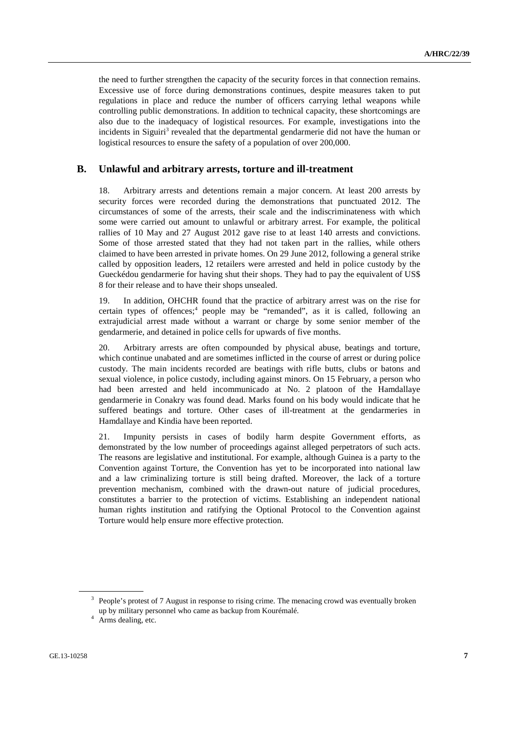the need to further strengthen the capacity of the security forces in that connection remains. Excessive use of force during demonstrations continues, despite measures taken to put regulations in place and reduce the number of officers carrying lethal weapons while controlling public demonstrations. In addition to technical capacity, these shortcomings are also due to the inadequacy of logistical resources. For example, investigations into the incidents in Siguiri<sup>3</sup> revealed that the departmental gendarmerie did not have the human or logistical resources to ensure the safety of a population of over 200,000.

### **B. Unlawful and arbitrary arrests, torture and ill-treatment**

18. Arbitrary arrests and detentions remain a major concern. At least 200 arrests by security forces were recorded during the demonstrations that punctuated 2012. The circumstances of some of the arrests, their scale and the indiscriminateness with which some were carried out amount to unlawful or arbitrary arrest. For example, the political rallies of 10 May and 27 August 2012 gave rise to at least 140 arrests and convictions. Some of those arrested stated that they had not taken part in the rallies, while others claimed to have been arrested in private homes. On 29 June 2012, following a general strike called by opposition leaders, 12 retailers were arrested and held in police custody by the Gueckédou gendarmerie for having shut their shops. They had to pay the equivalent of US\$ 8 for their release and to have their shops unsealed.

19. In addition, OHCHR found that the practice of arbitrary arrest was on the rise for certain types of offences;<sup>4</sup> people may be "remanded", as it is called, following an extrajudicial arrest made without a warrant or charge by some senior member of the gendarmerie, and detained in police cells for upwards of five months.

20. Arbitrary arrests are often compounded by physical abuse, beatings and torture, which continue unabated and are sometimes inflicted in the course of arrest or during police custody. The main incidents recorded are beatings with rifle butts, clubs or batons and sexual violence, in police custody, including against minors. On 15 February, a person who had been arrested and held incommunicado at No. 2 platoon of the Hamdallaye gendarmerie in Conakry was found dead. Marks found on his body would indicate that he suffered beatings and torture. Other cases of ill-treatment at the gendarmeries in Hamdallaye and Kindia have been reported.

21. Impunity persists in cases of bodily harm despite Government efforts, as demonstrated by the low number of proceedings against alleged perpetrators of such acts. The reasons are legislative and institutional. For example, although Guinea is a party to the Convention against Torture, the Convention has yet to be incorporated into national law and a law criminalizing torture is still being drafted. Moreover, the lack of a torture prevention mechanism, combined with the drawn-out nature of judicial procedures, constitutes a barrier to the protection of victims. Establishing an independent national human rights institution and ratifying the Optional Protocol to the Convention against Torture would help ensure more effective protection.

<sup>&</sup>lt;sup>3</sup> People's protest of 7 August in response to rising crime. The menacing crowd was eventually broken up by military personnel who came as backup from Kourémalé. 4

<sup>&</sup>lt;sup>4</sup> Arms dealing, etc.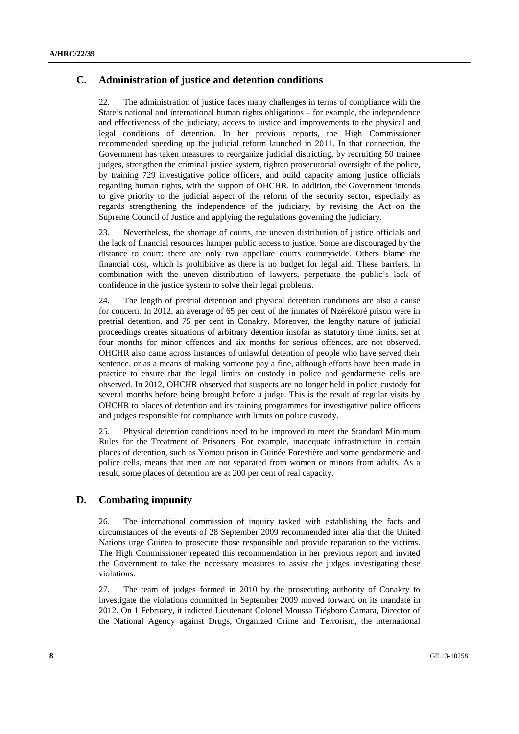## **C. Administration of justice and detention conditions**

22. The administration of justice faces many challenges in terms of compliance with the State's national and international human rights obligations – for example, the independence and effectiveness of the judiciary, access to justice and improvements to the physical and legal conditions of detention. In her previous reports, the High Commissioner recommended speeding up the judicial reform launched in 2011. In that connection, the Government has taken measures to reorganize judicial districting, by recruiting 50 trainee judges, strengthen the criminal justice system, tighten prosecutorial oversight of the police, by training 729 investigative police officers, and build capacity among justice officials regarding human rights, with the support of OHCHR. In addition, the Government intends to give priority to the judicial aspect of the reform of the security sector, especially as regards strengthening the independence of the judiciary, by revising the Act on the Supreme Council of Justice and applying the regulations governing the judiciary.

23. Nevertheless, the shortage of courts, the uneven distribution of justice officials and the lack of financial resources hamper public access to justice. Some are discouraged by the distance to court: there are only two appellate courts countrywide. Others blame the financial cost, which is prohibitive as there is no budget for legal aid. These barriers, in combination with the uneven distribution of lawyers, perpetuate the public's lack of confidence in the justice system to solve their legal problems.

24. The length of pretrial detention and physical detention conditions are also a cause for concern. In 2012, an average of 65 per cent of the inmates of Nzérékoré prison were in pretrial detention, and 75 per cent in Conakry. Moreover, the lengthy nature of judicial proceedings creates situations of arbitrary detention insofar as statutory time limits, set at four months for minor offences and six months for serious offences, are not observed. OHCHR also came across instances of unlawful detention of people who have served their sentence, or as a means of making someone pay a fine, although efforts have been made in practice to ensure that the legal limits on custody in police and gendarmerie cells are observed. In 2012, OHCHR observed that suspects are no longer held in police custody for several months before being brought before a judge. This is the result of regular visits by OHCHR to places of detention and its training programmes for investigative police officers and judges responsible for compliance with limits on police custody.

25. Physical detention conditions need to be improved to meet the Standard Minimum Rules for the Treatment of Prisoners. For example, inadequate infrastructure in certain places of detention, such as Yomou prison in Guinée Forestière and some gendarmerie and police cells, means that men are not separated from women or minors from adults. As a result, some places of detention are at 200 per cent of real capacity.

### **D. Combating impunity**

26. The international commission of inquiry tasked with establishing the facts and circumstances of the events of 28 September 2009 recommended inter alia that the United Nations urge Guinea to prosecute those responsible and provide reparation to the victims. The High Commissioner repeated this recommendation in her previous report and invited the Government to take the necessary measures to assist the judges investigating these violations.

27. The team of judges formed in 2010 by the prosecuting authority of Conakry to investigate the violations committed in September 2009 moved forward on its mandate in 2012. On 1 February, it indicted Lieutenant Colonel Moussa Tiégboro Camara, Director of the National Agency against Drugs, Organized Crime and Terrorism, the international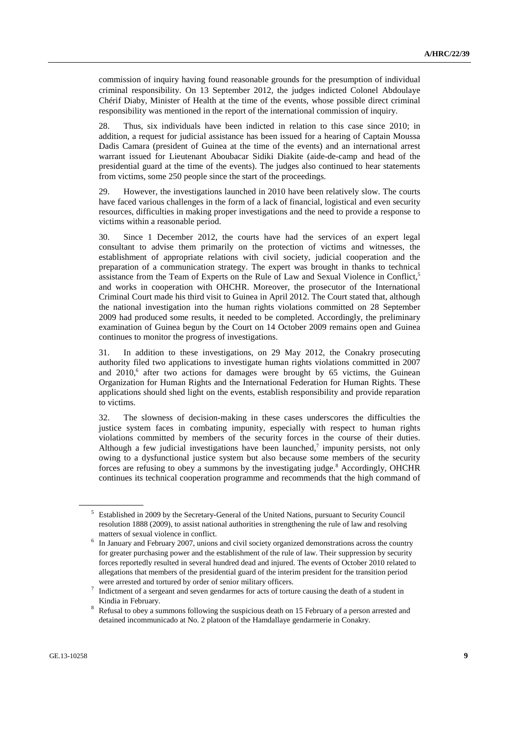commission of inquiry having found reasonable grounds for the presumption of individual criminal responsibility. On 13 September 2012, the judges indicted Colonel Abdoulaye Chérif Diaby, Minister of Health at the time of the events, whose possible direct criminal responsibility was mentioned in the report of the international commission of inquiry.

28. Thus, six individuals have been indicted in relation to this case since 2010; in addition, a request for judicial assistance has been issued for a hearing of Captain Moussa Dadis Camara (president of Guinea at the time of the events) and an international arrest warrant issued for Lieutenant Aboubacar Sidiki Diakite (aide-de-camp and head of the presidential guard at the time of the events). The judges also continued to hear statements from victims, some 250 people since the start of the proceedings.

29. However, the investigations launched in 2010 have been relatively slow. The courts have faced various challenges in the form of a lack of financial, logistical and even security resources, difficulties in making proper investigations and the need to provide a response to victims within a reasonable period.

30. Since 1 December 2012, the courts have had the services of an expert legal consultant to advise them primarily on the protection of victims and witnesses, the establishment of appropriate relations with civil society, judicial cooperation and the preparation of a communication strategy. The expert was brought in thanks to technical assistance from the Team of Experts on the Rule of Law and Sexual Violence in Conflict,<sup>5</sup> and works in cooperation with OHCHR. Moreover, the prosecutor of the International Criminal Court made his third visit to Guinea in April 2012. The Court stated that, although the national investigation into the human rights violations committed on 28 September 2009 had produced some results, it needed to be completed. Accordingly, the preliminary examination of Guinea begun by the Court on 14 October 2009 remains open and Guinea continues to monitor the progress of investigations.

31. In addition to these investigations, on 29 May 2012, the Conakry prosecuting authority filed two applications to investigate human rights violations committed in 2007 and  $2010$ , after two actions for damages were brought by 65 victims, the Guinean Organization for Human Rights and the International Federation for Human Rights. These applications should shed light on the events, establish responsibility and provide reparation to victims.

32. The slowness of decision-making in these cases underscores the difficulties the justice system faces in combating impunity, especially with respect to human rights violations committed by members of the security forces in the course of their duties. Although a few judicial investigations have been launched,<sup>7</sup> impunity persists, not only owing to a dysfunctional justice system but also because some members of the security forces are refusing to obey a summons by the investigating judge.<sup>8</sup> Accordingly, OHCHR continues its technical cooperation programme and recommends that the high command of

<sup>&</sup>lt;sup>5</sup> Established in 2009 by the Secretary-General of the United Nations, pursuant to Security Council resolution 1888 (2009), to assist national authorities in strengthening the rule of law and resolving matters of sexual violence in conflict. 6

In January and February 2007, unions and civil society organized demonstrations across the country for greater purchasing power and the establishment of the rule of law. Their suppression by security forces reportedly resulted in several hundred dead and injured. The events of October 2010 related to allegations that members of the presidential guard of the interim president for the transition period were arrested and tortured by order of senior military officers.

 $\frac{1}{10}$  Indictment of a sergeant and seven gendarmes for acts of torture causing the death of a student in Kindia in February.

Refusal to obey a summons following the suspicious death on 15 February of a person arrested and detained incommunicado at No. 2 platoon of the Hamdallaye gendarmerie in Conakry.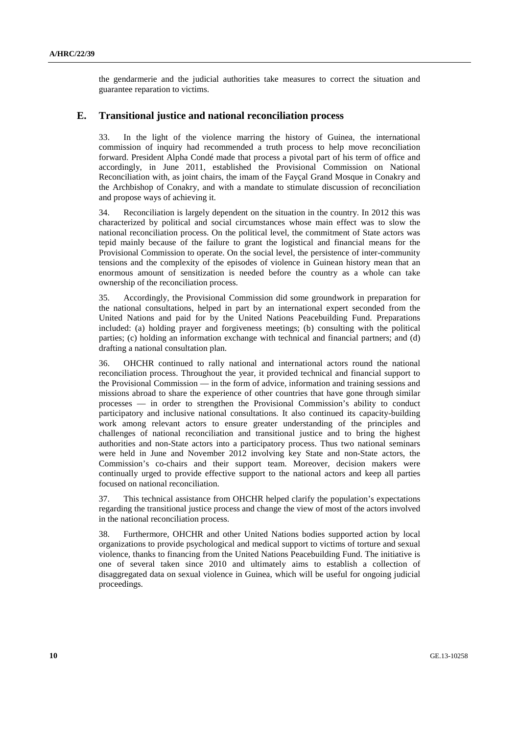the gendarmerie and the judicial authorities take measures to correct the situation and guarantee reparation to victims.

#### **E. Transitional justice and national reconciliation process**

33. In the light of the violence marring the history of Guinea, the international commission of inquiry had recommended a truth process to help move reconciliation forward. President Alpha Condé made that process a pivotal part of his term of office and accordingly, in June 2011, established the Provisional Commission on National Reconciliation with, as joint chairs, the imam of the Fayçal Grand Mosque in Conakry and the Archbishop of Conakry, and with a mandate to stimulate discussion of reconciliation and propose ways of achieving it.

34. Reconciliation is largely dependent on the situation in the country. In 2012 this was characterized by political and social circumstances whose main effect was to slow the national reconciliation process. On the political level, the commitment of State actors was tepid mainly because of the failure to grant the logistical and financial means for the Provisional Commission to operate. On the social level, the persistence of inter-community tensions and the complexity of the episodes of violence in Guinean history mean that an enormous amount of sensitization is needed before the country as a whole can take ownership of the reconciliation process.

35. Accordingly, the Provisional Commission did some groundwork in preparation for the national consultations, helped in part by an international expert seconded from the United Nations and paid for by the United Nations Peacebuilding Fund. Preparations included: (a) holding prayer and forgiveness meetings; (b) consulting with the political parties; (c) holding an information exchange with technical and financial partners; and (d) drafting a national consultation plan.

36. OHCHR continued to rally national and international actors round the national reconciliation process. Throughout the year, it provided technical and financial support to the Provisional Commission — in the form of advice, information and training sessions and missions abroad to share the experience of other countries that have gone through similar processes — in order to strengthen the Provisional Commission's ability to conduct participatory and inclusive national consultations. It also continued its capacity-building work among relevant actors to ensure greater understanding of the principles and challenges of national reconciliation and transitional justice and to bring the highest authorities and non-State actors into a participatory process. Thus two national seminars were held in June and November 2012 involving key State and non-State actors, the Commission's co-chairs and their support team. Moreover, decision makers were continually urged to provide effective support to the national actors and keep all parties focused on national reconciliation.

37. This technical assistance from OHCHR helped clarify the population's expectations regarding the transitional justice process and change the view of most of the actors involved in the national reconciliation process.

38. Furthermore, OHCHR and other United Nations bodies supported action by local organizations to provide psychological and medical support to victims of torture and sexual violence, thanks to financing from the United Nations Peacebuilding Fund. The initiative is one of several taken since 2010 and ultimately aims to establish a collection of disaggregated data on sexual violence in Guinea, which will be useful for ongoing judicial proceedings.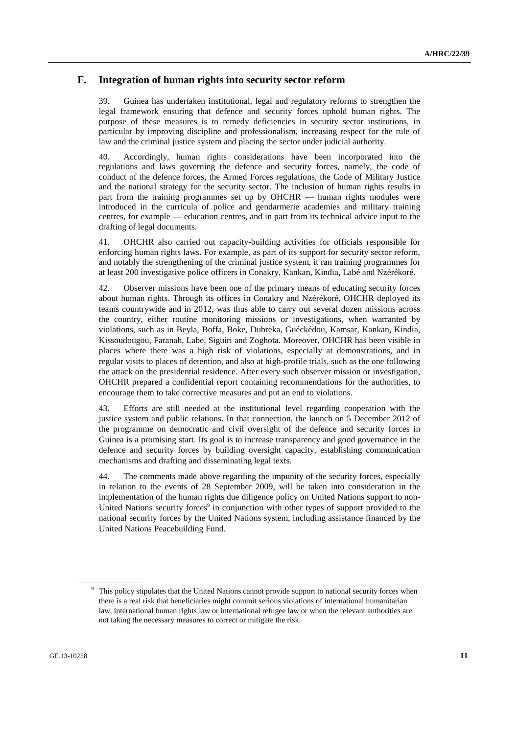## **F. Integration of human rights into security sector reform**

39. Guinea has undertaken institutional, legal and regulatory reforms to strengthen the legal framework ensuring that defence and security forces uphold human rights. The purpose of these measures is to remedy deficiencies in security sector institutions, in particular by improving discipline and professionalism, increasing respect for the rule of law and the criminal justice system and placing the sector under judicial authority.

40. Accordingly, human rights considerations have been incorporated into the regulations and laws governing the defence and security forces, namely, the code of conduct of the defence forces, the Armed Forces regulations, the Code of Military Justice and the national strategy for the security sector. The inclusion of human rights results in part from the training programmes set up by OHCHR — human rights modules were introduced in the curricula of police and gendarmerie academies and military training centres, for example — education centres, and in part from its technical advice input to the drafting of legal documents.

41. OHCHR also carried out capacity-building activities for officials responsible for enforcing human rights laws. For example, as part of its support for security sector reform, and notably the strengthening of the criminal justice system, it ran training programmes for at least 200 investigative police officers in Conakry, Kankan, Kindia, Labé and Nzérékoré.

42. Observer missions have been one of the primary means of educating security forces about human rights. Through its offices in Conakry and Nzérékoré, OHCHR deployed its teams countrywide and in 2012, was thus able to carry out several dozen missions across the country, either routine monitoring missions or investigations, when warranted by violations, such as in Beyla, Boffa, Boke, Dubreka, Guéckédou, Kamsar, Kankan, Kindia, Kissoudougou, Faranah, Labe, Siguiri and Zoghota. Moreover, OHCHR has been visible in places where there was a high risk of violations, especially at demonstrations, and in regular visits to places of detention, and also at high-profile trials, such as the one following the attack on the presidential residence. After every such observer mission or investigation, OHCHR prepared a confidential report containing recommendations for the authorities, to encourage them to take corrective measures and put an end to violations.

43. Efforts are still needed at the institutional level regarding cooperation with the justice system and public relations. In that connection, the launch on 5 December 2012 of the programme on democratic and civil oversight of the defence and security forces in Guinea is a promising start. Its goal is to increase transparency and good governance in the defence and security forces by building oversight capacity, establishing communication mechanisms and drafting and disseminating legal texts.

44. The comments made above regarding the impunity of the security forces, especially in relation to the events of 28 September 2009, will be taken into consideration in the implementation of the human rights due diligence policy on United Nations support to non-United Nations security forces<sup>9</sup> in conjunction with other types of support provided to the national security forces by the United Nations system, including assistance financed by the United Nations Peacebuilding Fund.

<sup>&</sup>lt;sup>9</sup> This policy stipulates that the United Nations cannot provide support to national security forces when there is a real risk that beneficiaries might commit serious violations of international humanitarian law, international human rights law or international refugee law or when the relevant authorities are not taking the necessary measures to correct or mitigate the risk.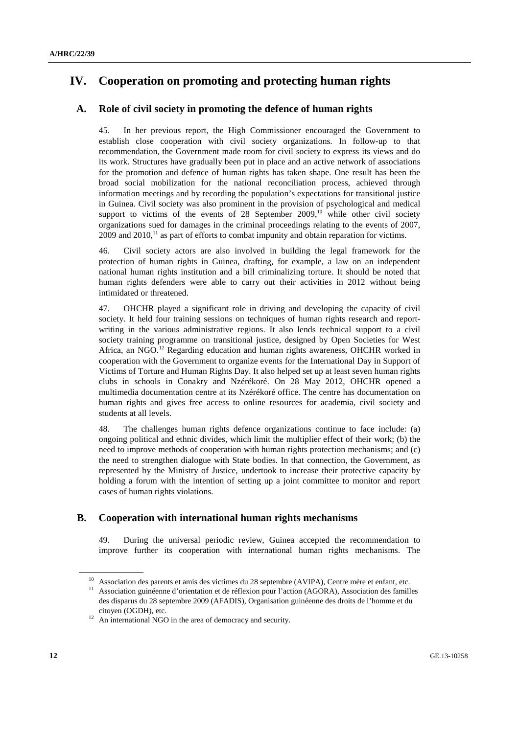# **IV. Cooperation on promoting and protecting human rights**

## **A. Role of civil society in promoting the defence of human rights**

45. In her previous report, the High Commissioner encouraged the Government to establish close cooperation with civil society organizations. In follow-up to that recommendation, the Government made room for civil society to express its views and do its work. Structures have gradually been put in place and an active network of associations for the promotion and defence of human rights has taken shape. One result has been the broad social mobilization for the national reconciliation process, achieved through information meetings and by recording the population's expectations for transitional justice in Guinea. Civil society was also prominent in the provision of psychological and medical support to victims of the events of 28 September  $2009$ ,<sup>10</sup> while other civil society organizations sued for damages in the criminal proceedings relating to the events of 2007,  $2009$  and  $2010$ ,<sup>11</sup> as part of efforts to combat impunity and obtain reparation for victims.

46. Civil society actors are also involved in building the legal framework for the protection of human rights in Guinea, drafting, for example, a law on an independent national human rights institution and a bill criminalizing torture. It should be noted that human rights defenders were able to carry out their activities in 2012 without being intimidated or threatened.

47. OHCHR played a significant role in driving and developing the capacity of civil society. It held four training sessions on techniques of human rights research and reportwriting in the various administrative regions. It also lends technical support to a civil society training programme on transitional justice, designed by Open Societies for West Africa, an NGO.<sup>12</sup> Regarding education and human rights awareness, OHCHR worked in cooperation with the Government to organize events for the International Day in Support of Victims of Torture and Human Rights Day. It also helped set up at least seven human rights clubs in schools in Conakry and Nzérékoré. On 28 May 2012, OHCHR opened a multimedia documentation centre at its Nzérékoré office. The centre has documentation on human rights and gives free access to online resources for academia, civil society and students at all levels.

48. The challenges human rights defence organizations continue to face include: (a) ongoing political and ethnic divides, which limit the multiplier effect of their work; (b) the need to improve methods of cooperation with human rights protection mechanisms; and (c) the need to strengthen dialogue with State bodies. In that connection, the Government, as represented by the Ministry of Justice, undertook to increase their protective capacity by holding a forum with the intention of setting up a joint committee to monitor and report cases of human rights violations.

### **B. Cooperation with international human rights mechanisms**

49. During the universal periodic review, Guinea accepted the recommendation to improve further its cooperation with international human rights mechanisms. The

<sup>&</sup>lt;sup>10</sup> Association des parents et amis des victimes du 28 septembre (AVIPA), Centre mère et enfant, etc.

<sup>&</sup>lt;sup>11</sup> Association guinéenne d'orientation et de réflexion pour l'action (AGORA), Association des familles des disparus du 28 septembre 2009 (AFADIS), Organisation guinéenne des droits de l'homme et du

citoyen (OGDH), etc.<br><sup>12</sup> An international NGO in the area of democracy and security.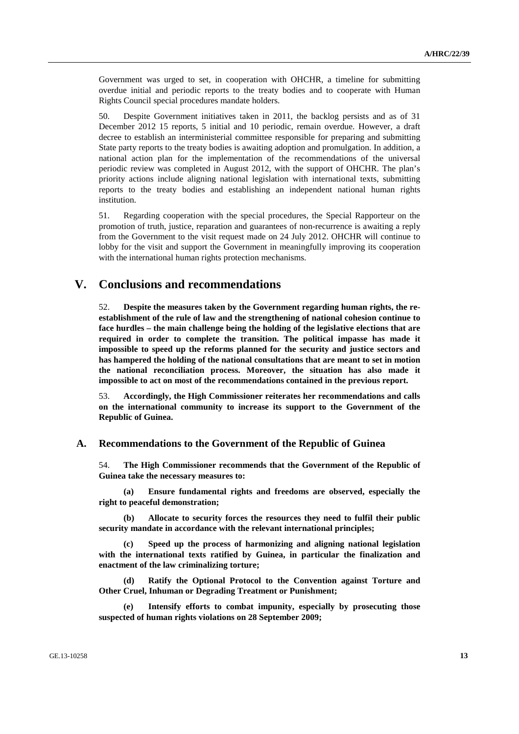Government was urged to set, in cooperation with OHCHR, a timeline for submitting overdue initial and periodic reports to the treaty bodies and to cooperate with Human Rights Council special procedures mandate holders.

50. Despite Government initiatives taken in 2011, the backlog persists and as of 31 December 2012 15 reports, 5 initial and 10 periodic, remain overdue. However, a draft decree to establish an interministerial committee responsible for preparing and submitting State party reports to the treaty bodies is awaiting adoption and promulgation. In addition, a national action plan for the implementation of the recommendations of the universal periodic review was completed in August 2012, with the support of OHCHR. The plan's priority actions include aligning national legislation with international texts, submitting reports to the treaty bodies and establishing an independent national human rights institution.

51. Regarding cooperation with the special procedures, the Special Rapporteur on the promotion of truth, justice, reparation and guarantees of non-recurrence is awaiting a reply from the Government to the visit request made on 24 July 2012. OHCHR will continue to lobby for the visit and support the Government in meaningfully improving its cooperation with the international human rights protection mechanisms.

## **V. Conclusions and recommendations**

52. **Despite the measures taken by the Government regarding human rights, the reestablishment of the rule of law and the strengthening of national cohesion continue to face hurdles – the main challenge being the holding of the legislative elections that are required in order to complete the transition. The political impasse has made it impossible to speed up the reforms planned for the security and justice sectors and has hampered the holding of the national consultations that are meant to set in motion the national reconciliation process. Moreover, the situation has also made it impossible to act on most of the recommendations contained in the previous report.** 

53. **Accordingly, the High Commissioner reiterates her recommendations and calls on the international community to increase its support to the Government of the Republic of Guinea.**

#### **A. Recommendations to the Government of the Republic of Guinea**

54. **The High Commissioner recommends that the Government of the Republic of Guinea take the necessary measures to:** 

 **(a) Ensure fundamental rights and freedoms are observed, especially the right to peaceful demonstration;** 

 **(b) Allocate to security forces the resources they need to fulfil their public security mandate in accordance with the relevant international principles;** 

 **(c) Speed up the process of harmonizing and aligning national legislation with the international texts ratified by Guinea, in particular the finalization and enactment of the law criminalizing torture;** 

 **(d) Ratify the Optional Protocol to the Convention against Torture and Other Cruel, Inhuman or Degrading Treatment or Punishment;** 

 **(e) Intensify efforts to combat impunity, especially by prosecuting those suspected of human rights violations on 28 September 2009;**